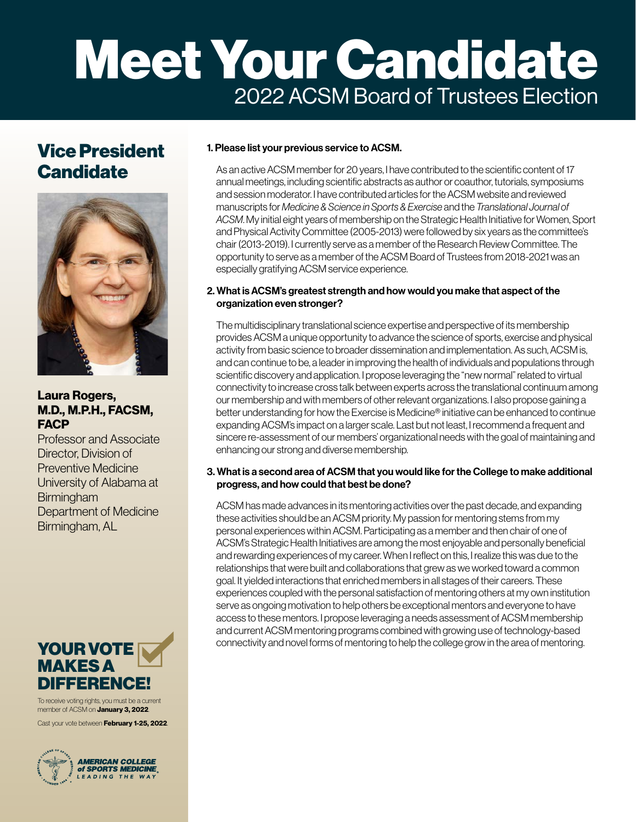# Meet Your Candidate 2022 ACSM Board of Trustees Election

## Vice President **Candidate**



### Laura Rogers, M.D., M.P.H., FACSM, **FACP**

Professor and Associate Director, Division of Preventive Medicine University of Alabama at **Birmingham** Department of Medicine Birmingham, AL



To receive voting rights, you must be a current member of ACSM on **January 3, 2022**.

Cast your vote between **February 1-25, 2022**.



#### 1. Please list your previous service to ACSM.

As an active ACSM member for 20 years, I have contributed to the scientific content of 17 annual meetings, including scientific abstracts as author or coauthor, tutorials, symposiums and session moderator. I have contributed articles for the ACSM website and reviewed manuscripts for *Medicine & Science in Sports & Exercise* and the *Translational Journal of ACSM*. My initial eight years of membership on the Strategic Health Initiative for Women, Sport and Physical Activity Committee (2005-2013) were followed by six years as the committee's chair (2013-2019). I currently serve as a member of the Research Review Committee. The opportunity to serve as a member of the ACSM Board of Trustees from 2018-2021 was an especially gratifying ACSM service experience.

#### 2. What is ACSM's greatest strength and how would you make that aspect of the organization even stronger?

The multidisciplinary translational science expertise and perspective of its membership provides ACSM a unique opportunity to advance the science of sports, exercise and physical activity from basic science to broader dissemination and implementation. As such, ACSM is, and can continue to be, a leader in improving the health of individuals and populations through scientific discovery and application. I propose leveraging the "new normal" related to virtual connectivity to increase cross talk between experts across the translational continuum among our membership and with members of other relevant organizations. I also propose gaining a better understanding for how the Exercise is Medicine® initiative can be enhanced to continue expanding ACSM's impact on a larger scale. Last but not least, I recommend a frequent and sincere re-assessment of our members' organizational needs with the goal of maintaining and enhancing our strong and diverse membership.

#### 3. What is a second area of ACSM that you would like for the College to make additional progress, and how could that best be done?

ACSM has made advances in its mentoring activities over the past decade, and expanding these activities should be an ACSM priority. My passion for mentoring stems from my personal experiences within ACSM. Participating as a member and then chair of one of ACSM's Strategic Health Initiatives are among the most enjoyable and personally beneficial and rewarding experiences of my career. When I reflect on this, I realize this was due to the relationships that were built and collaborations that grew as we worked toward a common goal. It yielded interactions that enriched members in all stages of their careers. These experiences coupled with the personal satisfaction of mentoring others at my own institution serve as ongoing motivation to help others be exceptional mentors and everyone to have access to these mentors. I propose leveraging a needs assessment of ACSM membership and current ACSM mentoring programs combined with growing use of technology-based connectivity and novel forms of mentoring to help the college grow in the area of mentoring.